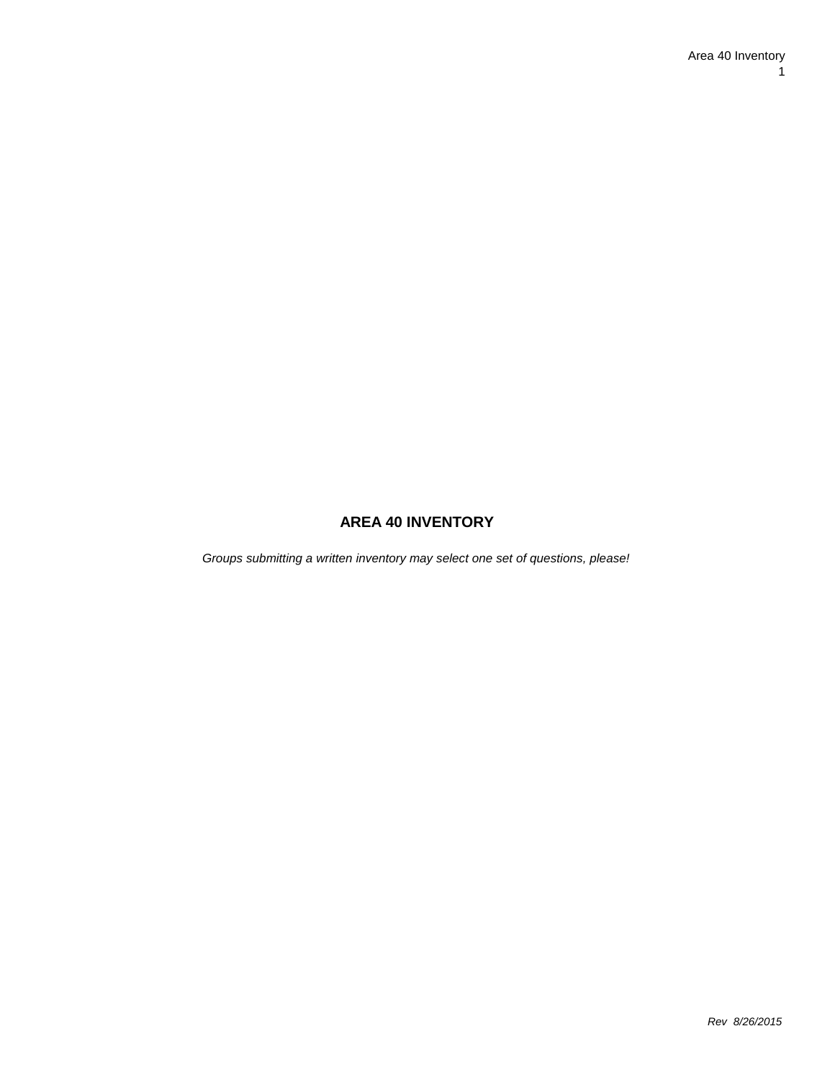# **AREA 40 INVENTORY**

*Groups submitting a written inventory may select one set of questions, please!*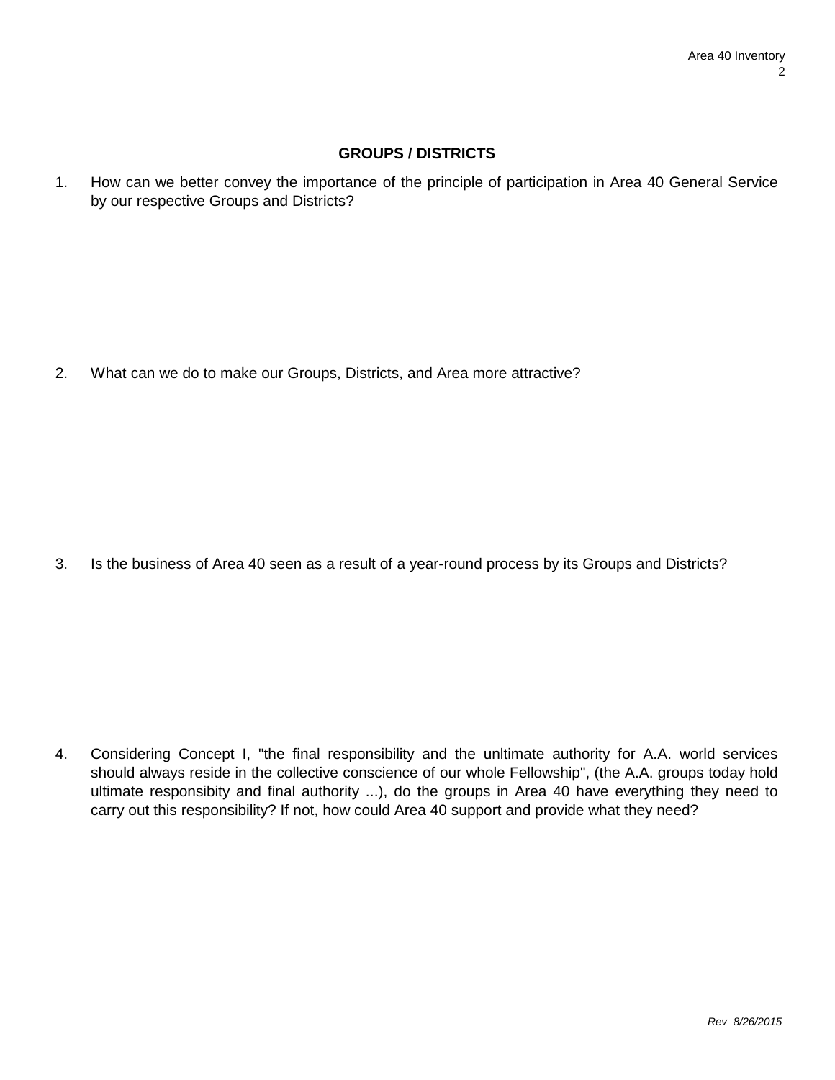#### **GROUPS / DISTRICTS**

1. How can we better convey the importance of the principle of participation in Area 40 General Service by our respective Groups and Districts?

2. What can we do to make our Groups, Districts, and Area more attractive?

3. Is the business of Area 40 seen as a result of a year-round process by its Groups and Districts?

4. Considering Concept I, "the final responsibility and the unltimate authority for A.A. world services should always reside in the collective conscience of our whole Fellowship", (the A.A. groups today hold ultimate responsibity and final authority ...), do the groups in Area 40 have everything they need to carry out this responsibility? If not, how could Area 40 support and provide what they need?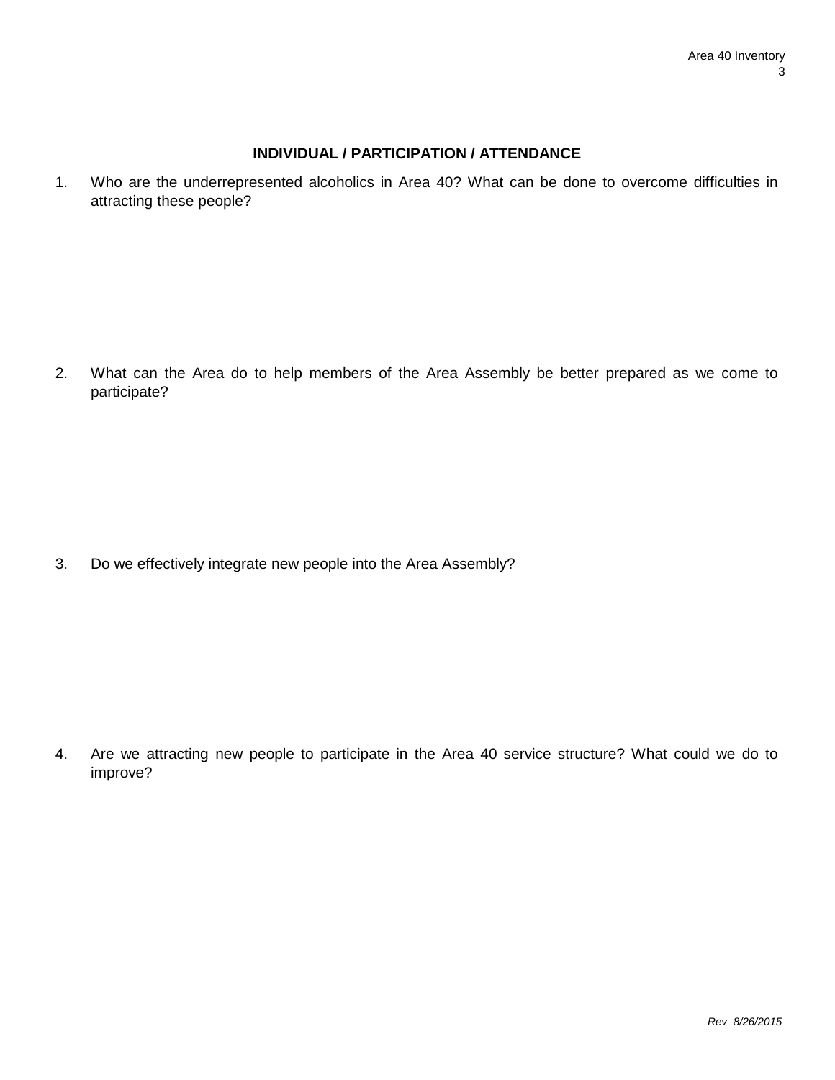## **INDIVIDUAL / PARTICIPATION / ATTENDANCE**

1. Who are the underrepresented alcoholics in Area 40? What can be done to overcome difficulties in attracting these people?

2. What can the Area do to help members of the Area Assembly be better prepared as we come to participate?

3. Do we effectively integrate new people into the Area Assembly?

4. Are we attracting new people to participate in the Area 40 service structure? What could we do to improve?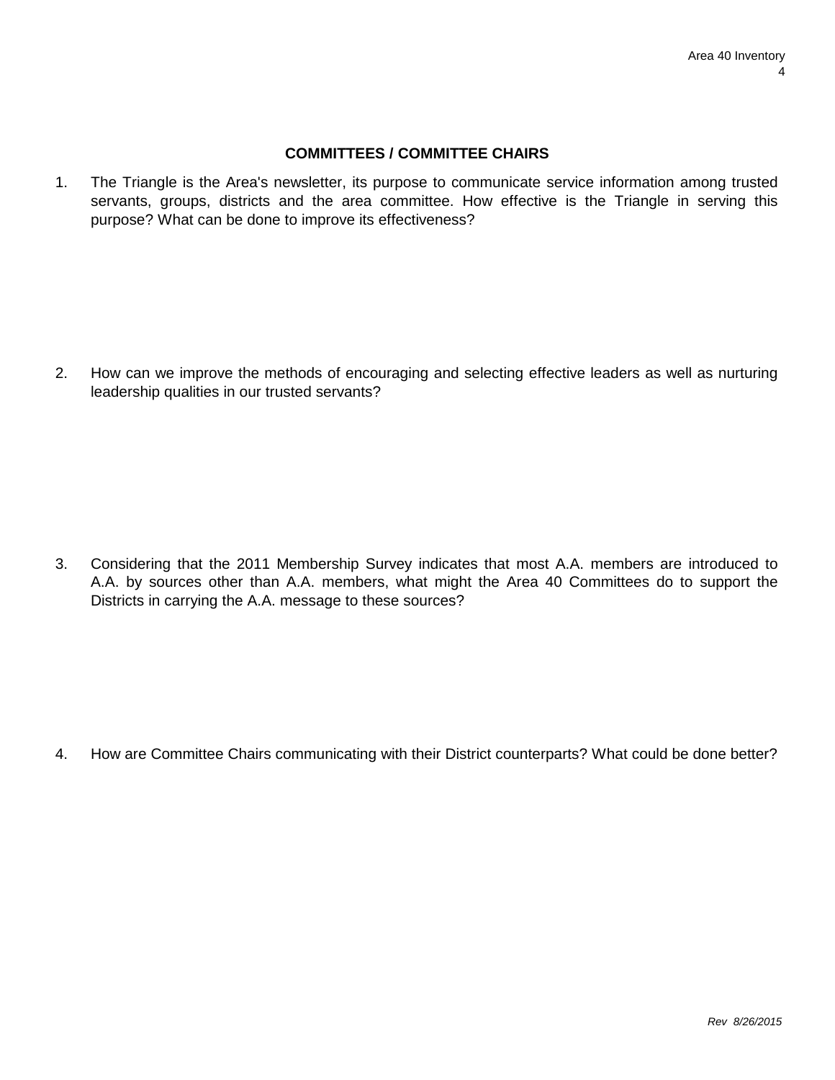#### **COMMITTEES / COMMITTEE CHAIRS**

1. The Triangle is the Area's newsletter, its purpose to communicate service information among trusted servants, groups, districts and the area committee. How effective is the Triangle in serving this purpose? What can be done to improve its effectiveness?

2. How can we improve the methods of encouraging and selecting effective leaders as well as nurturing leadership qualities in our trusted servants?

3. Considering that the 2011 Membership Survey indicates that most A.A. members are introduced to A.A. by sources other than A.A. members, what might the Area 40 Committees do to support the Districts in carrying the A.A. message to these sources?

4. How are Committee Chairs communicating with their District counterparts? What could be done better?